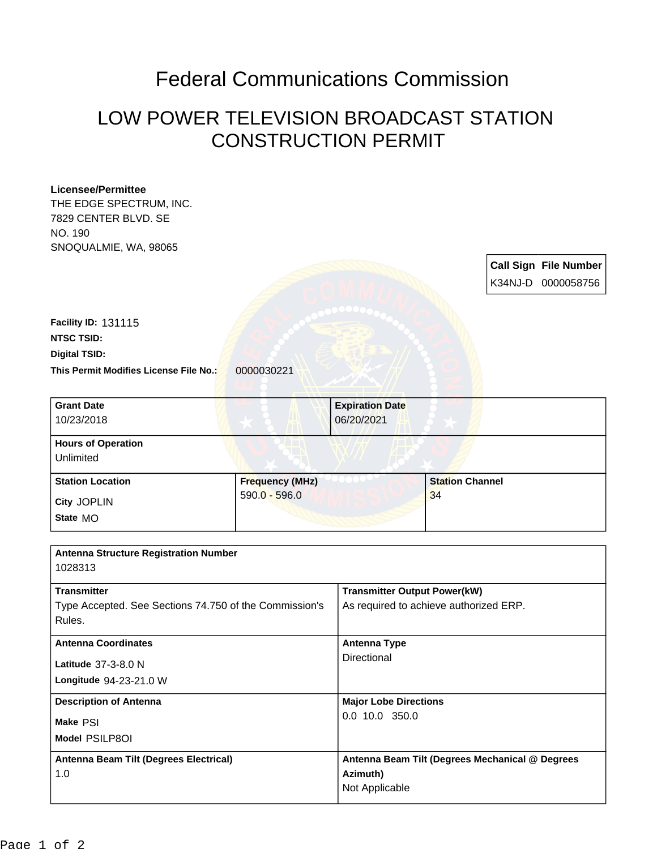## Federal Communications Commission

## LOW POWER TELEVISION BROADCAST STATION CONSTRUCTION PERMIT

## **Licensee/Permittee**

THE EDGE SPECTRUM, INC. 7829 CENTER BLVD. SE NO. 190 SNOQUALMIE, WA, 98065

> **Call Sign File Number** K34NJ-D 0000058756

**This Permit Modifies License File No.:** 0000030221 **Digital TSID: NTSC TSID: Facility ID:** 131115

| <b>Grant Date</b><br>10/23/2018        | <b>Expiration Date</b><br>06/20/2021 |                        |
|----------------------------------------|--------------------------------------|------------------------|
| <b>Hours of Operation</b><br>Unlimited |                                      |                        |
| <b>Station Location</b>                | <b>Frequency (MHz)</b>               | <b>Station Channel</b> |
| City JOPLIN<br>State MO                | $590.0 - 596.0$                      | 34                     |

| <b>Antenna Structure Registration Number</b>           |                                                 |  |  |
|--------------------------------------------------------|-------------------------------------------------|--|--|
| 1028313                                                |                                                 |  |  |
|                                                        |                                                 |  |  |
| <b>Transmitter</b>                                     | <b>Transmitter Output Power(kW)</b>             |  |  |
| Type Accepted. See Sections 74.750 of the Commission's | As required to achieve authorized ERP.          |  |  |
| Rules.                                                 |                                                 |  |  |
| <b>Antenna Coordinates</b>                             | <b>Antenna Type</b>                             |  |  |
| Latitude 37-3-8.0 N                                    | Directional                                     |  |  |
| Longitude 94-23-21.0 W                                 |                                                 |  |  |
| <b>Description of Antenna</b>                          | <b>Major Lobe Directions</b>                    |  |  |
| Make PSI                                               | $0.0$ 10.0 350.0                                |  |  |
| Model PSILP8OI                                         |                                                 |  |  |
| Antenna Beam Tilt (Degrees Electrical)                 | Antenna Beam Tilt (Degrees Mechanical @ Degrees |  |  |
| 1.0                                                    | Azimuth)                                        |  |  |
|                                                        | Not Applicable                                  |  |  |